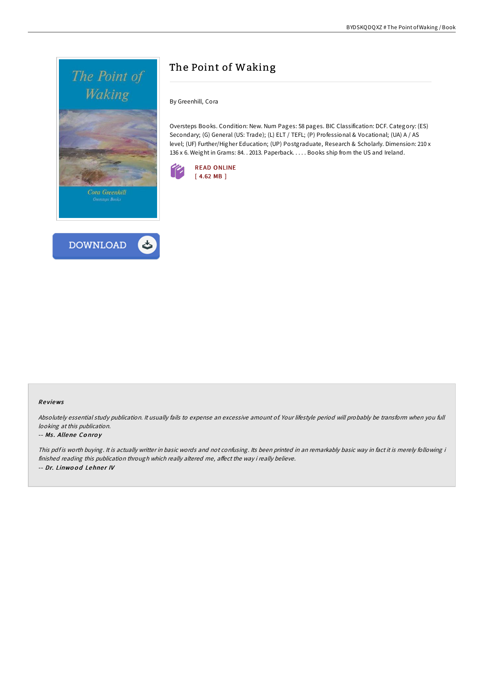



# The Point of Waking

By Greenhill, Cora

Oversteps Books. Condition: New. Num Pages: 58 pages. BIC Classification: DCF. Category: (ES) Secondary; (G) General (US: Trade); (L) ELT / TEFL; (P) Professional & Vocational; (UA) A / AS level; (UF) Further/Higher Education; (UP) Postgraduate, Research & Scholarly. Dimension: 210 x 136 x 6. Weight in Grams: 84. . 2013. Paperback. . . . . Books ship from the US and Ireland.



#### Re views

Absolutely essential study publication. It usually fails to expense an excessive amount of. Your lifestyle period will probably be transform when you full looking at this publication.

#### -- Ms. Allene Conroy

This pdf is worth buying. It is actually writter in basic words and not confusing. Its been printed in an remarkably basic way in fact it is merely following i finished reading this publication through which really altered me, affect the way i really believe. -- Dr. Linwood Lehner IV